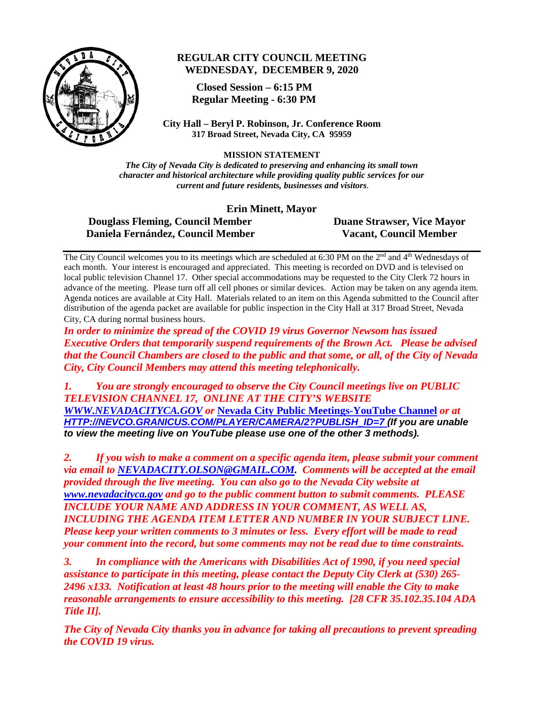

### **REGULAR CITY COUNCIL MEETING WEDNESDAY, DECEMBER 9, 2020**

 **Closed Session – 6:15 PM Regular Meeting - 6:30 PM**

**City Hall – Beryl P. Robinson, Jr. Conference Room 317 Broad Street, Nevada City, CA 95959**

**MISSION STATEMENT** 

*The City of Nevada City is dedicated to preserving and enhancing its small town character and historical architecture while providing quality public services for our current and future residents, businesses and visitors.*

**Erin Minett, Mayor**

 **Douglass Fleming, Council Member Duane Strawser, Vice Mayor Daniela Fernández, Council Member Vacant, Council Member**

The City Council welcomes you to its meetings which are scheduled at 6:30 PM on the  $2<sup>nd</sup>$  and  $4<sup>th</sup>$  Wednesdays of each month. Your interest is encouraged and appreciated. This meeting is recorded on DVD and is televised on local public television Channel 17. Other special accommodations may be requested to the City Clerk 72 hours in advance of the meeting. Please turn off all cell phones or similar devices. Action may be taken on any agenda item. Agenda notices are available at City Hall. Materials related to an item on this Agenda submitted to the Council after distribution of the agenda packet are available for public inspection in the City Hall at 317 Broad Street, Nevada City, CA during normal business hours.

*In order to minimize the spread of the COVID 19 virus Governor Newsom has issued Executive Orders that temporarily suspend requirements of the Brown Act. Please be advised that the Council Chambers are closed to the public and that some, or all, of the City of Nevada City, City Council Members may attend this meeting telephonically.*

*1. You are strongly encouraged to observe the City Council meetings live on PUBLIC TELEVISION CHANNEL 17, ONLINE AT THE CITY'S WEBSITE [WWW.NEVADACITYCA.GOV](http://www.nevadacityca.gov/) or* **[Nevada City Public Meetings-YouTube Channel](https://www.youtube.com/channel/UCXSQwrXtey12YIl3IbyGMYQ)** *or at [HTTP://NEVCO.GRANICUS.COM/PLAYER/CAMERA/2?PUBLISH\\_ID=7](http://nevco.granicus.com/player/camera/2?publish_id=7) (If you are unable to view the meeting live on YouTube please use one of the other 3 methods).*

*2. If you wish to make a comment on a specific agenda item, please submit your comment via email to [NEVADACITY.OLSON@GMAIL.COM.](mailto:NEVADACITY.OLSON@GMAIL.COM) Comments will be accepted at the email provided through the live meeting. You can also go to the Nevada City website at [www.nevadacityca.gov](http://www.nevadacityca.gov/) and go to the public comment button to submit comments. PLEASE INCLUDE YOUR NAME AND ADDRESS IN YOUR COMMENT, AS WELL AS, INCLUDING THE AGENDA ITEM LETTER AND NUMBER IN YOUR SUBJECT LINE. Please keep your written comments to 3 minutes or less. Every effort will be made to read your comment into the record, but some comments may not be read due to time constraints.*

*3. In compliance with the Americans with Disabilities Act of 1990, if you need special assistance to participate in this meeting, please contact the Deputy City Clerk at (530) 265- 2496 x133. Notification at least 48 hours prior to the meeting will enable the City to make reasonable arrangements to ensure accessibility to this meeting. [28 CFR 35.102.35.104 ADA Title II].* 

*The City of Nevada City thanks you in advance for taking all precautions to prevent spreading the COVID 19 virus.*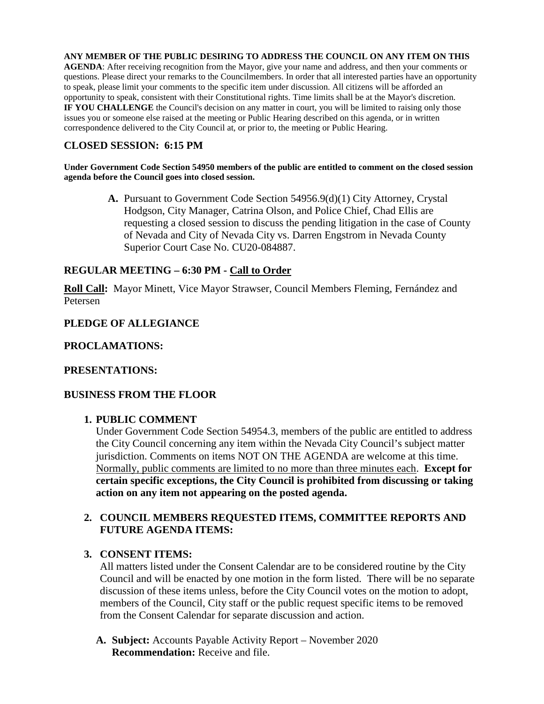**ANY MEMBER OF THE PUBLIC DESIRING TO ADDRESS THE COUNCIL ON ANY ITEM ON THIS AGENDA**: After receiving recognition from the Mayor, give your name and address, and then your comments or questions. Please direct your remarks to the Councilmembers. In order that all interested parties have an opportunity to speak, please limit your comments to the specific item under discussion. All citizens will be afforded an opportunity to speak, consistent with their Constitutional rights. Time limits shall be at the Mayor's discretion. **IF YOU CHALLENGE** the Council's decision on any matter in court, you will be limited to raising only those issues you or someone else raised at the meeting or Public Hearing described on this agenda, or in written correspondence delivered to the City Council at, or prior to, the meeting or Public Hearing.

## **CLOSED SESSION: 6:15 PM**

#### **Under Government Code Section 54950 members of the public are entitled to comment on the closed session agenda before the Council goes into closed session.**

**A.** Pursuant to Government Code Section 54956.9(d)(1) City Attorney, Crystal Hodgson, City Manager, Catrina Olson, and Police Chief, Chad Ellis are requesting a closed session to discuss the pending litigation in the case of County of Nevada and City of Nevada City vs. Darren Engstrom in Nevada County Superior Court Case No. CU20-084887.

### **REGULAR MEETING – 6:30 PM - Call to Order**

**Roll Call:** Mayor Minett, Vice Mayor Strawser, Council Members Fleming, Fernández and Petersen

### **PLEDGE OF ALLEGIANCE**

### **PROCLAMATIONS:**

### **PRESENTATIONS:**

### **BUSINESS FROM THE FLOOR**

### **1. PUBLIC COMMENT**

Under Government Code Section 54954.3, members of the public are entitled to address the City Council concerning any item within the Nevada City Council's subject matter jurisdiction. Comments on items NOT ON THE AGENDA are welcome at this time. Normally, public comments are limited to no more than three minutes each. **Except for certain specific exceptions, the City Council is prohibited from discussing or taking action on any item not appearing on the posted agenda.**

### **2. COUNCIL MEMBERS REQUESTED ITEMS, COMMITTEE REPORTS AND FUTURE AGENDA ITEMS:**

### **3. CONSENT ITEMS:**

All matters listed under the Consent Calendar are to be considered routine by the City Council and will be enacted by one motion in the form listed. There will be no separate discussion of these items unless, before the City Council votes on the motion to adopt, members of the Council, City staff or the public request specific items to be removed from the Consent Calendar for separate discussion and action.

**A. Subject:** Accounts Payable Activity Report – November 2020 **Recommendation:** Receive and file.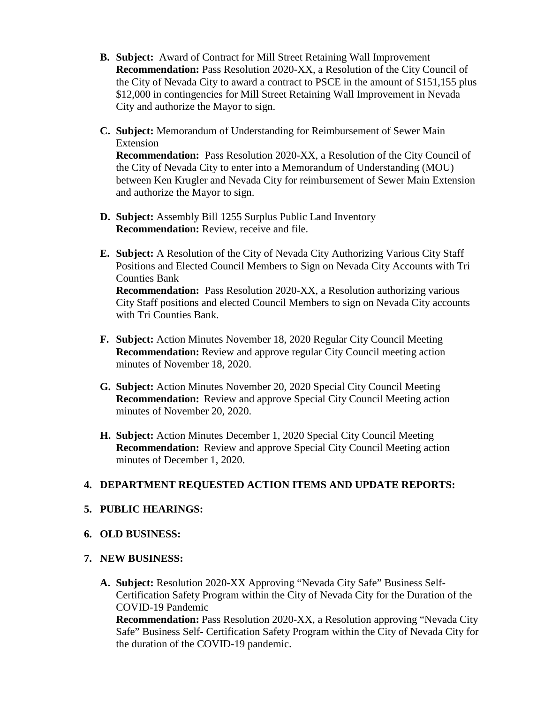- **B. Subject:** Award of Contract for Mill Street Retaining Wall Improvement **Recommendation:** Pass Resolution 2020-XX, a Resolution of the City Council of the City of Nevada City to award a contract to PSCE in the amount of \$151,155 plus \$12,000 in contingencies for Mill Street Retaining Wall Improvement in Nevada City and authorize the Mayor to sign.
- **C. Subject:** Memorandum of Understanding for Reimbursement of Sewer Main Extension **Recommendation:** Pass Resolution 2020-XX, a Resolution of the City Council of

the City of Nevada City to enter into a Memorandum of Understanding (MOU) between Ken Krugler and Nevada City for reimbursement of Sewer Main Extension and authorize the Mayor to sign.

- **D. Subject:** Assembly Bill 1255 Surplus Public Land Inventory **Recommendation:** Review, receive and file.
- **E. Subject:** A Resolution of the City of Nevada City Authorizing Various City Staff Positions and Elected Council Members to Sign on Nevada City Accounts with Tri Counties Bank

**Recommendation:** Pass Resolution 2020-XX, a Resolution authorizing various City Staff positions and elected Council Members to sign on Nevada City accounts with Tri Counties Bank.

- **F. Subject:** Action Minutes November 18, 2020 Regular City Council Meeting **Recommendation:** Review and approve regular City Council meeting action minutes of November 18, 2020.
- **G. Subject:** Action Minutes November 20, 2020 Special City Council Meeting **Recommendation:** Review and approve Special City Council Meeting action minutes of November 20, 2020.
- **H. Subject:** Action Minutes December 1, 2020 Special City Council Meeting **Recommendation:** Review and approve Special City Council Meeting action minutes of December 1, 2020.

### **4. DEPARTMENT REQUESTED ACTION ITEMS AND UPDATE REPORTS:**

### **5. PUBLIC HEARINGS:**

**6. OLD BUSINESS:**

## **7. NEW BUSINESS:**

**A. Subject:** Resolution 2020-XX Approving "Nevada City Safe" Business Self-Certification Safety Program within the City of Nevada City for the Duration of the COVID-19 Pandemic

**Recommendation:** Pass Resolution 2020-XX, a Resolution approving "Nevada City Safe" Business Self- Certification Safety Program within the City of Nevada City for the duration of the COVID-19 pandemic.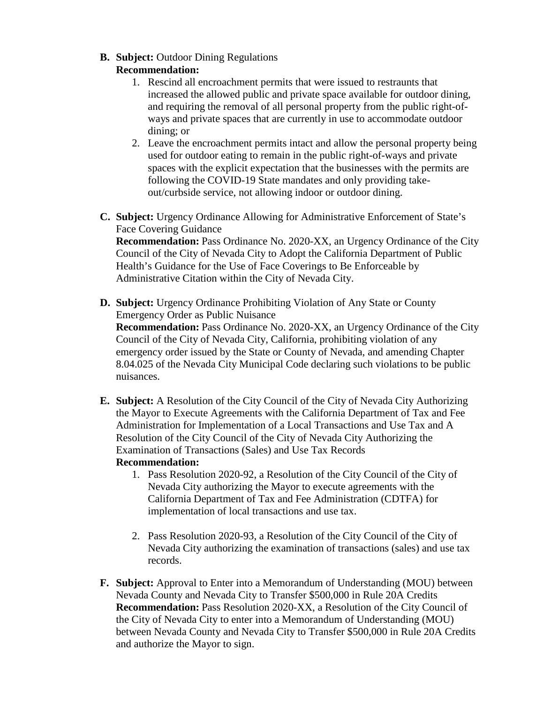**B. Subject:** Outdoor Dining Regulations

## **Recommendation:**

- 1. Rescind all encroachment permits that were issued to restraunts that increased the allowed public and private space available for outdoor dining, and requiring the removal of all personal property from the public right-ofways and private spaces that are currently in use to accommodate outdoor dining; or
- 2. Leave the encroachment permits intact and allow the personal property being used for outdoor eating to remain in the public right-of-ways and private spaces with the explicit expectation that the businesses with the permits are following the COVID-19 State mandates and only providing takeout/curbside service, not allowing indoor or outdoor dining.
- **C. Subject:** Urgency Ordinance Allowing for Administrative Enforcement of State's Face Covering Guidance

**Recommendation:** Pass Ordinance No. 2020-XX, an Urgency Ordinance of the City Council of the City of Nevada City to Adopt the California Department of Public Health's Guidance for the Use of Face Coverings to Be Enforceable by Administrative Citation within the City of Nevada City.

- **D. Subject:** Urgency Ordinance Prohibiting Violation of Any State or County Emergency Order as Public Nuisance **Recommendation:** Pass Ordinance No. 2020-XX, an Urgency Ordinance of the City Council of the City of Nevada City, California, prohibiting violation of any emergency order issued by the State or County of Nevada, and amending Chapter 8.04.025 of the Nevada City Municipal Code declaring such violations to be public nuisances.
- **E. Subject:** A Resolution of the City Council of the City of Nevada City Authorizing the Mayor to Execute Agreements with the California Department of Tax and Fee Administration for Implementation of a Local Transactions and Use Tax and A Resolution of the City Council of the City of Nevada City Authorizing the Examination of Transactions (Sales) and Use Tax Records

# **Recommendation:**

- 1. Pass Resolution 2020-92, a Resolution of the City Council of the City of Nevada City authorizing the Mayor to execute agreements with the California Department of Tax and Fee Administration (CDTFA) for implementation of local transactions and use tax.
- 2. Pass Resolution 2020-93, a Resolution of the City Council of the City of Nevada City authorizing the examination of transactions (sales) and use tax records.
- **F. Subject:** Approval to Enter into a Memorandum of Understanding (MOU) between Nevada County and Nevada City to Transfer \$500,000 in Rule 20A Credits **Recommendation:** Pass Resolution 2020-XX, a Resolution of the City Council of the City of Nevada City to enter into a Memorandum of Understanding (MOU) between Nevada County and Nevada City to Transfer \$500,000 in Rule 20A Credits and authorize the Mayor to sign.